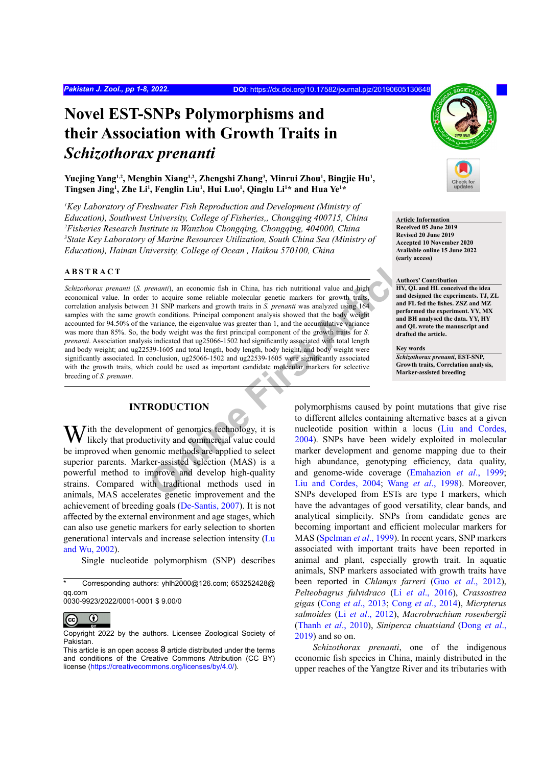# **Novel EST-SNPs Polymorphisms and their Association with Growth Traits in**  *Schizothorax prenanti*

Yuejing Yang<sup>1,2</sup>, Mengbin Xiang<sup>1,2</sup>, Zhengshi Zhang<sup>3</sup>, Minrui Zhou<sup>1</sup>, Bingjie Hu<sup>1</sup>, **Tingsen Jing1 , Zhe Li1 , Fenglin Liu1 , Hui Luo1 , Qinglu Li1 \* and Hua Ye1 \***

<sup>1</sup>Key Laboratory of Freshwater Fish Reproduction and Development (Ministry of *Education), Southwest University, College of Fisheries,, Chongqing 400715, China 2 Fisheries Research Institute in Wanzhou Chongqing, Chongqing, 404000, China 3 State Key Laboratory of Marine Resources Utilization, South China Sea (Ministry of Education), Hainan University, College of Ocean , Haikou 570100, China*

#### **ABSTRACT**

**PERIMENT:** The conomic fish in China, has rich nutritional value and high<br>
The conomic fish in China, has rich nutritional value and high<br>
The conductions. Principal component analysis showed that the body weight<br>
and det *Schizothorax prenanti* (*S. prenanti*), an economic fish in China, has rich nutritional value and high economical value. In order to acquire some reliable molecular genetic markers for growth traits, correlation analysis between 31 SNP markers and growth traits in *S. prenanti* was analyzed using 164 samples with the same growth conditions. Principal component analysis showed that the body weight accounted for 94.50% of the variance, the eigenvalue was greater than 1, and the accumulative variance was more than 85%. So, the body weight was the first principal component of the growth traits for *S. prenanti*. Association analysis indicated that ug25066-1502 had significantly associated with total length and body weight; and ug22539-1605 and total length, body length, body height, and body weight were significantly associated. In conclusion, ug25066-1502 and ug22539-1605 were significantly associated with the growth traits, which could be used as important candidate molecular markers for selective breeding of *S. prenanti*.

# **INTRODUCTION**

*ith the development of genomics technology, it is* likely that productivity and commercial value could be improved when genomic methods are applied to select superior parents. Marker-assisted selection (MAS) is a powerful method to improve and develop high-quality strains. Compared with traditional methods used in animals, MAS accelerates genetic improvement and the achievement of breeding goals [\(De-Santis, 2007](#page-5-0)). It is not affected by the external environment and age stages, which can also use genetic markers for early selection to shorten generational intervals and increase selection intensity [\(Lu](#page-6-0) [and Wu, 2002\)](#page-6-0).

Single nucleotide polymorphism (SNP) describes

0030-9923/2022/0001-0001 \$ 9.00/0



Copyright 2022 by the authors. Licensee Zoological Society of Pakistan.



**Article Information Received 05 June 2019 Revised 20 June 2019 Accepted 10 November 2020 Available online 15 June 2022 (early access)**

#### **Authors' Contribution**

**HY, QL and HL conceived the idea and designed the experiments. TJ, ZL and FL fed the fishes. ZSZ and MZ performed the experiment. YY, MX and BH analysed the data. YY, HY and QL wrote the manuscript and drafted the article.** 

**Key words** *Schizothorax prenanti***, EST-SNP, Growth traits, Correlation analysis, Marker-assisted breeding**

polymorphisms caused by point mutations that give rise to different alleles containing alternative bases at a given nucleotide position within a locus [\(Liu and Cordes,](#page-6-1) 2004). SNPs have been widely exploited in molecular marker development and genome mapping due to their high abundance, genotyping efficiency, data quality, and genome-wide coverage (Emahazion *et al*., 1999; Liu and Cordes, 2004; Wang *et al*., 1998). Moreover, SNPs developed from ESTs are type I markers, which have the advantages of good versatility, clear bands, and analytical simplicity. SNPs from candidate genes are becoming important and efficient molecular markers for MAS [\(Spelman](#page-6-3) *et al*., 1999). In recent years, SNP markers associated with important traits have been reported in animal and plant, especially growth trait. In aquatic animals, SNP markers associated with growth traits have been reported in *Chlamys farreri* (Guo *et al*[., 2012](#page-5-1)), *Pelteobagrus fulvidraco* (Li *et al*[., 2016](#page-6-4)), *Crassostrea gigas* (Cong *et al*[., 2013](#page-5-2); Cong *et al*[., 2014](#page-5-3)), *Micrpterus salmoides* (Li *et al*[., 2012](#page-6-5)), *Macrobrachium rosenbergii* (Thanh *et al*[., 2010](#page-6-6)), *Siniperca chuatsiand* ([Dong](#page-5-4) *et al*., [2019\)](#page-5-4) and so on.

*Schizothorax prenanti*, one of the indigenous economic fish species in China, mainly distributed in the upper reaches of the Yangtze River and its tributaries with

 $\overline{\text{Corresponding authors: }$  vhlh2000@126.com: 653252428@ qq.com

This article is an open access  $\Theta$  article distributed under the terms and conditions of the Creative Commons Attribution (CC BY) license (https://creativecommons.org/licenses/by/4.0/).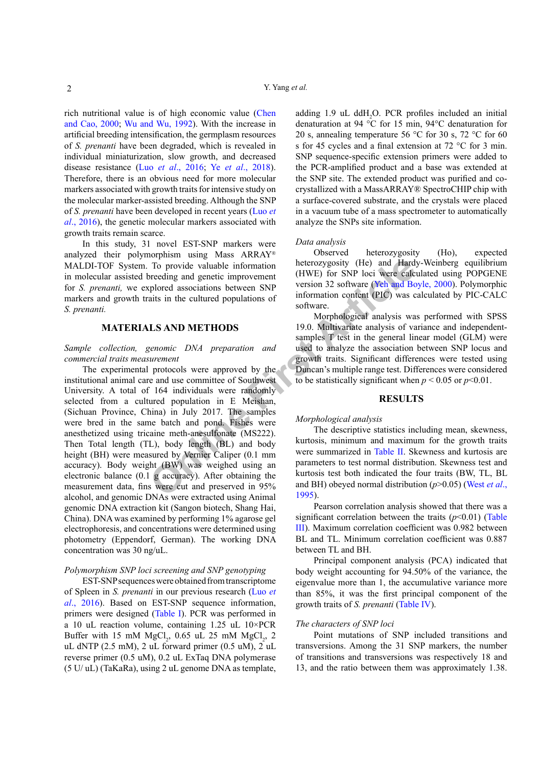rich nutritional value is of high economic value ([Chen](#page-5-5) [and Cao, 2000;](#page-5-5) [Wu and Wu, 1992\)](#page-6-7). With the increase in artificial breeding intensification, the germplasm resources of *S. prenanti* have been degraded, which is revealed in individual miniaturization, slow growth, and decreased disease resistance (Luo *et al*[., 2016;](#page-6-8) Ye *et al*[., 2018](#page-6-9)). Therefore, there is an obvious need for more molecular markers associated with growth traits for intensive study on the molecular marker-assisted breeding. Although the SNP of *S. prenanti* have been developed in recent years [\(Luo](#page-6-8) *et al*[., 2016\)](#page-6-8), the genetic molecular markers associated with growth traits remain scarce.

In this study, 31 novel EST-SNP markers were analyzed their polymorphism using Mass ARRAY® MALDI-TOF System. To provide valuable information in molecular assisted breeding and genetic improvement for *S. prenanti,* we explored associations between SNP markers and growth traits in the cultured populations of *S. prenanti.*

#### **MATERIALS AND METHODS**

### *Sample collection, genomic DNA preparation and commercial traits measurement*

To provide valuable information<br>
To provide valuable information<br>
To provide valuable information<br>
The provide valuable information (HVE) for SNP loci were calc<br>
explored associations between SNP<br>
information content (PIC) The experimental protocols were approved by the institutional animal care and use committee of Southwest University. A total of 164 individuals were randomly selected from a cultured population in E Meishan, (Sichuan Province, China) in July 2017. The samples were bred in the same batch and pond. Fishes were anesthetized using tricaine meth-anesulfonate (MS222). Then Total length (TL), body length (BL) and body height (BH) were measured by Vernier Caliper (0.1 mm accuracy). Body weight (BW) was weighed using an electronic balance (0.1 g accuracy). After obtaining the measurement data, fins were cut and preserved in 95% alcohol, and genomic DNAs were extracted using Animal genomic DNA extraction kit (Sangon biotech, Shang Hai, China). DNA was examined by performing 1% agarose gel electrophoresis, and concentrations were determined using photometry (Eppendorf, German). The working DNA concentration was 30 ng/uL.

# *Polymorphism SNP loci screening and SNP genotyping*

EST-SNP sequences were obtained from transcriptome of Spleen in *S. prenanti* in our previous research ([Luo](#page-6-8) *et al*[., 2016](#page-6-8)). Based on EST-SNP sequence information, primers were designed [\(Table I](#page-2-0)). PCR was performed in a 10 uL reaction volume, containing 1.25 uL 10×PCR Buffer with 15 mM  $MgCl<sub>2</sub>$ , 0.65 uL 25 mM  $MgCl<sub>2</sub>$ , 2 uL dNTP (2.5 mM), 2 uL forward primer (0.5 uM),  $2 \text{ uL}$ reverse primer (0.5 uM), 0.2 uL ExTaq DNA polymerase (5 U/ uL) (TaKaRa), using 2 uL genome DNA as template,

adding  $1.9$  uL ddH<sub>2</sub>O. PCR profiles included an initial denaturation at 94 °C for 15 min, 94°C denaturation for 20 s, annealing temperature 56  $\degree$ C for 30 s, 72  $\degree$ C for 60 s for 45 cycles and a final extension at 72 °C for 3 min. SNP sequence-specific extension primers were added to the PCR-amplified product and a base was extended at the SNP site. The extended product was purified and cocrystallized with a MassARRAY® SpectroCHIP chip with a surface-covered substrate, and the crystals were placed in a vacuum tube of a mass spectrometer to automatically analyze the SNPs site information.

#### *Data analysis*

Observed heterozygosity (Ho), expected heterozygosity (He) and Hardy-Weinberg equilibrium (HWE) for SNP loci were calculated using POPGENE version 32 software [\(Yeh and Boyle, 2000\)](#page-6-10). Polymorphic information content (PIC) was calculated by PIC-CALC software.

Morphological analysis was performed with SPSS 19.0. Multivariate analysis of variance and independentsamples T test in the general linear model (GLM) were used to analyze the association between SNP locus and growth traits. Significant differences were tested using Duncan's multiple range test. Differences were considered to be statistically significant when  $p < 0.05$  or  $p < 0.01$ .

## **RESULTS**

#### *Morphological analysis*

The descriptive statistics including mean, skewness, kurtosis, minimum and maximum for the growth traits were summarized in Table II. Skewness and kurtosis are parameters to test normal distribution. Skewness test and kurtosis test both indicated the four traits (BW, TL, BL and BH) obeyed normal distribution (*p*>0.05) ([West](#page-6-11) *et al*., [1995\)](#page-6-11).

Pearson correlation analysis showed that there was a significant correlation between the traits  $(p<0.01)$  [\(Table](#page-3-0) [III\)](#page-3-0). Maximum correlation coefficient was 0.982 between BL and TL. Minimum correlation coefficient was 0.887 between TL and BH.

Principal component analysis (PCA) indicated that body weight accounting for 94.50% of the variance, the eigenvalue more than 1, the accumulative variance more than 85%, it was the first principal component of the growth traits of *S. prenanti* ([Table IV](#page-3-1)).

#### *The characters of SNP loci*

Point mutations of SNP included transitions and transversions. Among the 31 SNP markers, the number of transitions and transversions was respectively 18 and 13, and the ratio between them was approximately 1.38.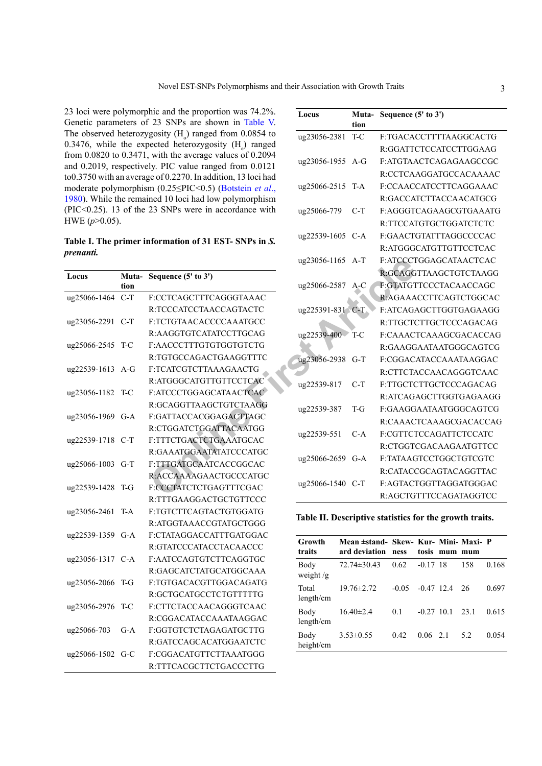23 loci were polymorphic and the proportion was 74.2%. Genetic parameters of 23 SNPs are shown in [Table V.](#page-3-2) The observed heterozygosity  $(H_0)$  ranged from 0.0854 to 0.3476, while the expected heterozygosity  $(H_e)$  ranged from  $0.0820$  to  $0.3471$ , with the average values of  $0.2094$ and 0.2019, respectively. PIC value ranged from 0.0121 to0.3750 with an average of 0.2270. In addition, 13 loci had moderate polymorphism (0.25≤PIC<0.5) [\(Botstein](#page-5-6) *et al*., [1980\)](#page-5-6). While the remained 10 loci had low polymorphism (PIC<0.25). 13 of the 23 SNPs were in accordance with HWE (*p*>0.05).

<span id="page-2-0"></span>**Table I. The primer information of 31 EST- SNPs in** *S. prenanti.*

| Locus        | Muta-<br>tion | Sequence (5' to 3')           |
|--------------|---------------|-------------------------------|
| ug25066-1464 | $C-T$         | <b>F:CCTCAGCTTTCAGGGTAAAC</b> |
|              |               | R:TCCCATCCTAACCAGTACTC        |
| ug23056-2291 | $C-T$         | F:TCTGTAACACCCCAAATGCC        |
|              |               | R:AAGGTGTCATATCCTTGCAG        |
| ug25066-2545 | T-C           | F:AACCCTTTGTGTGGTGTCTG        |
|              |               | R:TGTGCCAGACTGAAGGTTTC        |
| ug22539-1613 | $A - G$       | F:TCATCGTCTTAAAGAACTG         |
|              |               | R:ATGGGCATGTTGTTCCTCAC        |
| ug23056-1182 | T-C           | F:ATCCCTGGAGCATAACTCAC        |
|              |               | R:GCAGGTTAAGCTGTCTAAGG        |
| ug23056-1969 | $G-A$         | F:GATTACCACGGAGACTTAGC        |
|              |               | R:CTGGATCTGGATTACAATGG        |
| ug22539-1718 | $C-T$         | F:TTTCTGACTCTGAAATGCAC        |
|              |               | R:GAAATGGAATATATCCCATGC       |
| ug25066-1003 | $G-T$         | F:TTTGATGCAATCACCGGCAC        |
|              |               | R:ACCAAAAGAACTGCCCATGC        |
| ug22539-1428 | T-G           | F:CCCTATCTCTGAGTTTCGAC        |
|              |               | R:TTTGAAGGACTGCTGTTCCC        |
| ug23056-2461 | T-A           | E:TGTCTTCAGTACTGTGGATG        |
|              |               | R:ATGGTAAACCGTATGCTGGG        |
| ug22539-1359 | $G-A$         | E:CTATAGGACCATTTGATGGAC       |
|              |               | R:GTATCCCATACCTACAACCC        |
| ug23056-1317 | C-A           | F:AATCCAGTGTCTTCAGGTGC        |
|              |               | R:GAGCATCTATGCATGGCAAA        |
| ug23056-2066 | T-G           | F:TGTGACACGTTGGACAGATG        |
|              |               | R:GCTGCATGCCTCTGTTTTTG        |
| ug23056-2976 | T-C           | F:CTTCTACCAACAGGGTCAAC        |
|              |               | R:CGGACATACCAAATAAGGAC        |
| ug25066-703  | $G-A$         | F:GGTGTCTCTAGAGATGCTTG        |
|              |               | R:GATCCAGCACATGGAATCTC        |
| ug25066-1502 | $G-C$         | F:CGGACATGTTCTTAAATGGG        |
|              |               | R:TTTCACGCTTCTGACCCTTG        |

| hic and the proportion was 74.2%.<br>23 SNPs are shown in Table V.    | Locus            | Muta-<br>tion | Sequence (5' to 3')    |
|-----------------------------------------------------------------------|------------------|---------------|------------------------|
| gosity $(H_0)$ ranged from 0.0854 to                                  | ug23056-2381     | T-C           | F:TGACACCTTTTAAGGCACTG |
| bected heterozygosity $(H_e)$ ranged                                  |                  |               | R:GGATTCTCCATCCTTGGAAG |
| with the average values of 0.2094<br>ly. PIC value ranged from 0.0121 | ug23056-1955 A-G |               | F:ATGTAACTCAGAGAAGCCGC |
| ge of 0.2270. In addition, 13 loci had                                |                  |               | R:CCTCAAGGATGCCACAAAAC |
| m (0.25 < PIC < 0.5) (Botstein et al.,                                | ug25066-2515 T-A |               | F:CCAACCATCCTTCAGGAAAC |
| ned 10 loci had low polymorphism                                      |                  |               | R:GACCATCTTACCAACATGCG |
| 23 SNPs were in accordance with                                       | ug25066-779      | $C-T$         | F:AGGGTCAGAAGCGTGAAATG |
|                                                                       |                  |               | R:TTCCATGTGCTGGATCTCTC |
|                                                                       | ug22539-1605 C-A |               | F:GAACTGTATTTAGGCCCCAC |
| nformation of 31 EST-SNPs in S.                                       |                  |               | R:ATGGGCATGTTGTTCCTCAC |
|                                                                       | ug23056-1165 A-T |               | F:ATCCCTGGAGCATAACTCAC |
| Sequence (5' to 3')                                                   |                  |               | R:GCAGGTTAAGCTGTCTAAGG |
|                                                                       | ug25066-2587 A-C |               | F:GTATGTTCCCTACAACCAGC |
| F:CCTCAGCTTTCAGGGTAAAC                                                |                  |               | R:AGAAACCTTCAGTCTGGCAC |
| R:TCCCATCCTAACCAGTACTC                                                | ug225391-831 C-T |               | F:ATCAGAGCTTGGTGAGAAGG |
| F:TCTGTAACACCCCAAATGCC                                                |                  |               | R:TTGCTCTTGCTCCCAGACAG |
| R:AAGGTGTCATATCCTTGCAG                                                | ug22539-400      | T-C           | F:CAAACTCAAAGCGACACCAG |
| F:AACCCTTTGTGTGGTGTCTG                                                |                  |               | R:GAAGGAATAATGGGCAGTCG |
| R:TGTGCCAGACTGAAGGTTTC                                                | ug23056-2938     | $G-T$         | F:CGGACATACCAAATAAGGAC |
| F:TCATCGTCTTAAAGAACTG                                                 |                  |               | R:CTTCTACCAACAGGGTCAAC |
| R:ATGGGCATGTTGTTCCTCAC                                                | ug22539-817      | $C-T$         | F:TTGCTCTTGCTCCCAGACAG |
| F:ATCCCTGGAGCATAACTCAC                                                |                  |               | R:ATCAGAGCTTGGTGAGAAGG |
| R:GCAGGTTAAGCTGTCTAAGG                                                | ug22539-387      | $T-G$         | F:GAAGGAATAATGGGCAGTCG |
| F:GATTACCACGGAGACTTAGC                                                |                  |               | R:CAAACTCAAAGCGACACCAG |
| R:CTGGATCTGGATTACAATGG                                                | ug22539-551      | $C-A$         | F:CGTTCTCCAGATTCTCCATC |
| F:TTTCTGACTCTGAAATGCAC                                                |                  |               | R:CTGGTCGACAAGAATGTTCC |
| R:GAAATGGAATATATCCCATGC                                               | ug25066-2659 G-A |               | F:TATAAGTCCTGGCTGTCGTC |
| F:TTTGATGCAATCACCGGCAC                                                |                  |               | R:CATACCGCAGTACAGGTTAC |
| R:ACCAAAAGAACTGCCCATGC                                                | ug25066-1540 C-T |               | F:AGTACTGGTTAGGATGGGAC |
| F:CCCTATCTCTGAGTTTCGAC                                                |                  |               | R:AGCTGTTTCCAGATAGGTCC |
| R:TTTGAAGGACTGCTGTTCCC                                                |                  |               |                        |

<span id="page-2-1"></span>**Table II. Descriptive statistics for the growth traits.**

| Growth<br>traits    | Mean ±stand- Skew- Kur- Mini- Maxi- P<br>ard deviation | <b>ness</b> |                  | tosis mum mum |      |       |
|---------------------|--------------------------------------------------------|-------------|------------------|---------------|------|-------|
| Body<br>weight $/g$ | $72.74 \pm 30.43$                                      | 0.62        | $-0.17$ 18       |               | 158  | 0.168 |
| Total<br>length/cm  | $19.76 \pm 2.72$                                       | $-0.05$     |                  | $-0.47$ 12.4  | 26   | 0.697 |
| Body<br>length/cm   | $16.40 \pm 2.4$                                        | 0.1         | $-0.27$ 10.1     |               | 23.1 | 0.615 |
| Body<br>height/cm   | $3.53 \pm 0.55$                                        | 0.42        | $0.06 \quad 2.1$ |               | - 52 | 0.054 |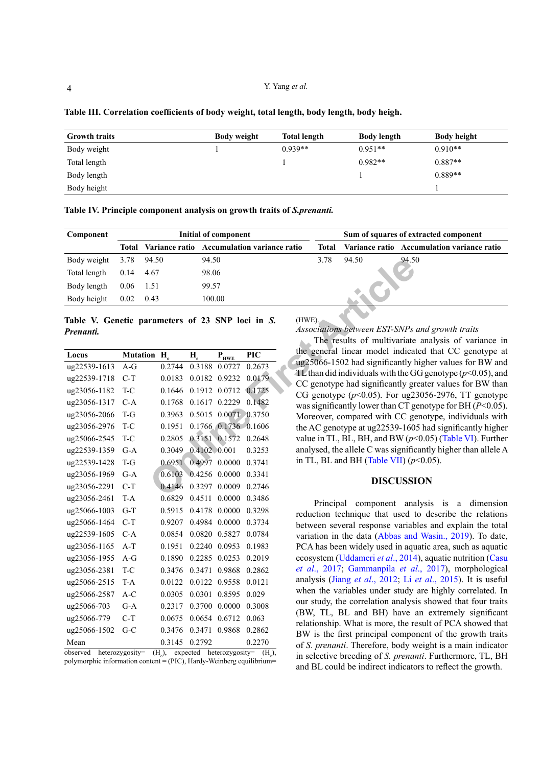Y. Yang *et al.*

| <b>Growth traits</b> | <b>Body weight</b> | <b>Total length</b> | <b>Body length</b> | <b>Body height</b> |
|----------------------|--------------------|---------------------|--------------------|--------------------|
| Body weight          |                    | $0.939**$           | $0.951**$          | $0.910**$          |
| Total length         |                    |                     | $0.982**$          | $0.887**$          |
| Body length          |                    |                     |                    | $0.889**$          |
| Body height          |                    |                     |                    |                    |

<span id="page-3-0"></span>**Table III. Correlation coefficients of body weight, total length, body length, body heigh.**

<span id="page-3-1"></span>**Table IV. Principle component analysis on growth traits of** *S.prenanti.*

| Component                | Initial of component |      |                                            |       |       | Sum of squares of extracted component      |
|--------------------------|----------------------|------|--------------------------------------------|-------|-------|--------------------------------------------|
|                          | Total                |      | Variance ratio Accumulation variance ratio | Total |       | Variance ratio Accumulation variance ratio |
| Body weight              | 3.78 94.50           |      | 94.50                                      | 3.78  | 94.50 | 94.50                                      |
| Total length $0.14$ 4.67 |                      |      | 98.06                                      |       |       |                                            |
| Body length              | 0.06                 | 1.51 | 99.57                                      |       |       |                                            |
| Body height              | 0.02                 | 0.43 | 100.00                                     |       |       |                                            |
|                          |                      |      |                                            |       |       |                                            |

<span id="page-3-2"></span>**Table V. Genetic parameters of 23 SNP loci in** *S. Prenanti.*

| Body weight                                                   | 3.78  | 94.50                   | 94.50                        |                                              |            | 3.78<br>94.50<br>94.5                                                  |
|---------------------------------------------------------------|-------|-------------------------|------------------------------|----------------------------------------------|------------|------------------------------------------------------------------------|
| Total length                                                  | 0.14  | 4.67                    | 98.06                        |                                              |            |                                                                        |
| Body length                                                   | 0.06  | 1.51                    | 99.57                        |                                              |            |                                                                        |
| Body height                                                   | 0.02  | 0.43                    | 100.00                       |                                              |            |                                                                        |
| Table V. Genetic parameters of 23 SNP loci in S.<br>Prenanti. |       |                         |                              |                                              |            | (HWE).<br>Associations between EST-SNPs<br>The results of multivariate |
| Locus                                                         |       | Mutation H <sub>o</sub> | $H_{\scriptscriptstyle\rho}$ | $\mathbf{P}_{\text{H}\underline{\text{WE}}}$ | <b>PIC</b> | the general linear model indicat                                       |
| ug22539-1613                                                  | $A-G$ | 0.2744                  |                              | 0.3188 0.0727                                | 0.2673     | ug25066-1502 had significantly h                                       |
| ug22539-1718                                                  | $C-T$ | 0.0183                  |                              | 0.0182 0.9232                                | 0.0179     | TL than did individuals with the G<br>CC genotype had significantly gr |
| ug23056-1182                                                  | T-C   | 0.1646                  |                              | 0.1912 0.0712                                | 0.1725     | CG genotype $(p<0.05)$ . For ug2.                                      |
| ug23056-1317                                                  | $C-A$ | 0.1768                  |                              | 0.1617 0.2229                                | 0.1482     | was significantly lower than CT g                                      |
| ug23056-2066                                                  | $T-G$ | 0.3963                  |                              | 0.5015 0.0071 0.3750                         |            | Moreover, compared with CC go                                          |
| ug23056-2976                                                  | T-C   | 0.1951                  |                              | 0.1766 0.1736 0.1606                         |            | the AC genotype at ug22539-160                                         |
| ug25066-2545                                                  | T-C   | 0.2805                  |                              | 0.3151 0.1572 0.2648                         |            | value in TL, BL, BH, and BW ( $p$                                      |
| ug22539-1359                                                  | $G-A$ | 0.3049                  | 0.4102 0.001                 |                                              | 0.3253     | analysed, the allele C was signific                                    |
| ug22539-1428                                                  | T-G   | 0.6951                  |                              | 0.4997 0.0000                                | 0.3741     | in TL, BL and BH (Table VII) $(p \cdot$                                |
| ug23056-1969                                                  | $G-A$ | 0.6103                  |                              | 0.4256 0.0000                                | 0.3341     | <b>DISCUSSI</b>                                                        |
| ug23056-2291                                                  | $C-T$ | 0.4146                  |                              | 0.3297 0.0009                                | 0.2746     |                                                                        |
| ug23056-2461                                                  | T-A   | 0.6829                  | 0.4511                       | 0.0000                                       | 0.3486     | Principal<br>component<br>ana                                          |
| ug25066-1003                                                  | $G-T$ | 0.5915                  |                              | 0.4178 0.0000                                | 0.3298     | reduction technique that used t                                        |
| ug25066-1464                                                  | $C-T$ | 0.9207                  |                              | 0.4984 0.0000                                | 0.3734     | between several response variab                                        |
| ug22539-1605                                                  | $C-A$ | 0.0854                  |                              | 0.0820 0.5827                                | 0.0784     | variation in the data (Abbas and                                       |
| ug23056-1165                                                  | $A-T$ | 0.1951                  |                              | 0.2240 0.0953                                | 0.1983     | PCA has been widely used in aqu                                        |
| ug23056-1955                                                  | $A-G$ | 0.1890                  |                              | 0.2285 0.0253                                | 0.2019     | ecosystem (Uddameri et al., 2014                                       |
| ug23056-2381                                                  | T-C   |                         | 0.3476 0.3471 0.9868         |                                              | 0.2862     | et al., 2017; Gammanpila et al.                                        |
| ug25066-2515                                                  | T-A   | 0.0122                  |                              | 0.0122 0.9558                                | 0.0121     | analysis (Jiang et al., 2012; Li                                       |
| ug25066-2587                                                  | A-C   | 0.0305                  |                              | 0.0301 0.8595                                | 0.029      | when the variables under study<br>our study, the correlation analysi   |
| ug25066-703                                                   | $G-A$ | 0.2317                  |                              | 0.3700 0.0000                                | 0.3008     | (BW, TL, BL and BH) have a                                             |
| ug25066-779                                                   | $C-T$ | 0.0675                  |                              | 0.0654 0.6712                                | 0.063      | relationship. What is more, the re                                     |
| ug25066-1502                                                  | $G-C$ | 0.3476                  |                              | 0.3471 0.9868                                | 0.2862     | BW is the first principal compo                                        |
| Mean                                                          |       | 0.3145                  | 0.2792                       |                                              | 0.2270     | of S. prenanti. Therefore, body w                                      |

observed heterozygosity=  $(H_0)$ , expected heterozygosity=  $(H_e)$ , polymorphic information content  $=$  (PIC), Hardy-Weinberg equilibrium=

(HWE). *Associations between EST-SNPs and growth traits*

The results of multivariate analysis of variance in the general linear model indicated that CC genotype at ug25066-1502 had significantly higher values for BW and TL than did individuals with the GG genotype  $(p<0.05)$ , and CC genotype had significantly greater values for BW than CG genotype  $(p<0.05)$ . For ug23056-2976, TT genotype was significantly lower than CT genotype for BH (*P*<0.05). Moreover, compared with CC genotype, individuals with the AC genotype at ug22539-1605 had significantly higher value in TL, BL, BH, and BW (*p*<0.05) ([Table VI\)](#page-4-0). Further analysed, the allele C was significantly higher than allele A in TL, BL and BH (Table VII)  $(p<0.05)$ .

### **DISCUSSION**

Principal component analysis is a dimension reduction technique that used to describe the relations between several response variables and explain the total variation in the data [\(Abbas and Wasin., 2019](#page-5-7)). To date, PCA has been widely used in aquatic area, such as aquatic ecosystem [\(Uddameri](#page-6-12) *et al*., 2014), aquatic nutrition ([Casu](#page-5-8)  *et al*[., 2017;](#page-5-8) [Gammanpila](#page-5-9) *et al*., 2017), morphological analysis (Jiang *et al*[., 2012;](#page-5-10) Li *et al*[., 2015\)](#page-6-13). It is useful when the variables under study are highly correlated. In our study, the correlation analysis showed that four traits (BW, TL, BL and BH) have an extremely significant relationship. What is more, the result of PCA showed that BW is the first principal component of the growth traits of *S. prenanti*. Therefore, body weight is a main indicator in selective breeding of *S. prenanti*. Furthermore, TL, BH and BL could be indirect indicators to reflect the growth.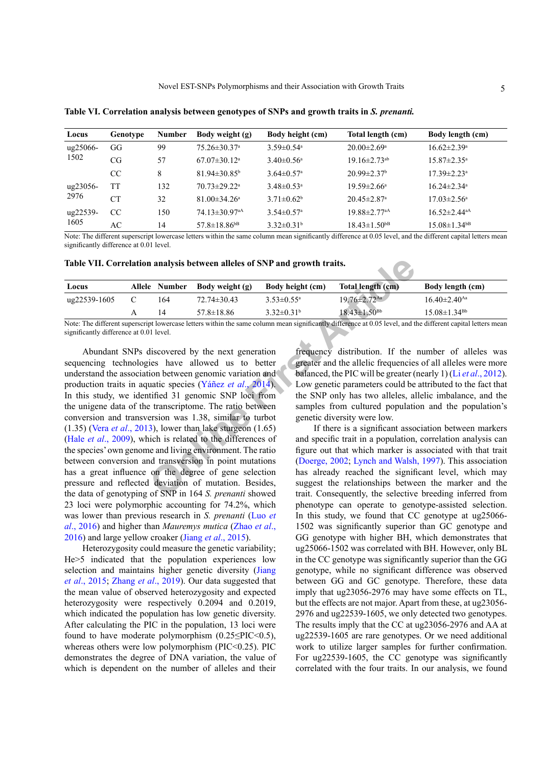| Locus    | Genotype        | <b>Number</b> | Body weight (g)                 | Body height (cm)             | Total length (cm)              | Body length (cm)               |
|----------|-----------------|---------------|---------------------------------|------------------------------|--------------------------------|--------------------------------|
| ug25066- | GG              | 99            | $75.26 \pm 30.37$ <sup>a</sup>  | $3.59 \pm 0.54$ <sup>a</sup> | $20.00 \pm 2.69$ <sup>a</sup>  | $16.62 \pm 2.39$ <sup>a</sup>  |
| 1502     | CG              | 57            | $67.07 \pm 30.12^{\text{a}}$    | $3.40 \pm 0.56$ <sup>a</sup> | $19.16 \pm 2.73$ <sup>ab</sup> | $15.87 \pm 2.35^{\circ}$       |
|          | <sub>CC</sub>   | 8             | $81.94 \pm 30.85^{\circ}$       | $3.64 \pm 0.57$ <sup>a</sup> | $20.99 \pm 2.37$ <sup>b</sup>  | $17.39 \pm 2.23$ <sup>a</sup>  |
| ug23056- | TT              | 132           | $70.73 \pm 29.22$ <sup>a</sup>  | $3.48 \pm 0.53$ <sup>a</sup> | $19.59 \pm 2.66^a$             | $16.24 \pm 2.34$ <sup>a</sup>  |
| 2976     | CT <sup>-</sup> | 32            | $81.00 \pm 34.26^a$             | $3.71 \pm 0.62^b$            | $20.45 \pm 2.87$ <sup>a</sup>  | $17.03 \pm 2.56^{\circ}$       |
| ug22539- | CC              | 150           | $74.13 \pm 30.97$ <sup>aA</sup> | $3.54 \pm 0.57$ <sup>a</sup> | $19.88 \pm 2.77$ <sup>aA</sup> | $16.52 \pm 2.44$ <sup>aA</sup> |
| 1605     | AC              | 14            | $57.8 \pm 18.86$ <sup>bB</sup>  | $3.32 \pm 0.31^b$            | $18.43 \pm 1.50$ <sup>bB</sup> | $15.08 \pm 1.34$ <sup>bB</sup> |

<span id="page-4-0"></span>**Table VI. Correlation analysis between genotypes of SNPs and growth traits in** *S. prenanti.*

Note: The different superscript lowercase letters within the same column mean significantly difference at 0.05 level, and the different capital letters mean significantly difference at 0.01 level.

**Table VII. Correlation analysis between alleles of SNP and growth traits.**

| Locus        | Allele Number | Body weight (g)   | Body height (cm)        | Total length (cm)              | Body length (cm)               |
|--------------|---------------|-------------------|-------------------------|--------------------------------|--------------------------------|
| ug22539-1605 | 164           | $72.74 \pm 30.43$ | $3.53 \pm 0.55^{\circ}$ | $19.76 \pm 2.72$ <sup>Aa</sup> | $16.40 \pm 2.40$ <sup>Aa</sup> |
|              |               | $57.8 \pm 18.86$  | $3.32 \pm 0.31^b$       | $18.43 \pm 1.50^{Bb}$          | $15.08 \pm 1.34$ <sup>Bb</sup> |

Note: The different superscript lowercase letters within the same column mean significantly difference at 0.05 level, and the different capital letters mean significantly difference at 0.01 level.

<span id="page-4-1"></span>**n analysis between alleles of SNP and growth traits.**<br> **Comber Body weight (g)** Body height (cm) Total length (cm)<br>  $164$  72.74±30.43 3.53±0.55°  $1976\pm2.72^{2n}$ <br>  $14$  57.8±18.86 3.32±0.31<sup>b</sup><br>  $10$  level.<br>
Dilevel.<br>
Dile Abundant SNPs discovered by the next generation sequencing technologies have allowed us to better understand the association between genomic variation and production traits in aquatic species (Yáñez *et al*., 2014). In this study, we identified 31 genomic SNP loci from the unigene data of the transcriptome. The ratio between conversion and transversion was 1.38, similar to turbot (1.35) (Vera *et al*[., 2013\)](#page-6-14), lower than lake sturgeon (1.65) (Hale *et al*[., 2009\)](#page-5-11), which is related to the differences of the species' own genome and living environment. The ratio between conversion and transversion in point mutations has a great influence on the degree of gene selection pressure and reflected deviation of mutation. Besides, the data of genotyping of SNP in 164 *S. prenanti* showed 23 loci were polymorphic accounting for 74.2%, which was lower than previous research in *S. prenanti* ([Luo](#page-6-8) *et al*[., 2016](#page-6-8)) and higher than *Mauremys mutica* (Zhao *et al*., 2016) and large yellow croaker (Jiang *et al*[., 2015\)](#page-5-12).

Heterozygosity could measure the genetic variability; He>5 indicated that the population experiences low selection and maintains higher genetic diversity ([Jiang](#page-5-12) *et al*[., 2015](#page-5-12); Zhang *et al*., 2019). Our data suggested that the mean value of observed heterozygosity and expected heterozygosity were respectively 0.2094 and 0.2019. which indicated the population has low genetic diversity. After calculating the PIC in the population, 13 loci were found to have moderate polymorphism  $(0.25 \leq PIC \leq 0.5)$ , whereas others were low polymorphism (PIC<0.25). PIC demonstrates the degree of DNA variation, the value of which is dependent on the number of alleles and their

frequency distribution. If the number of alleles was greater and the allelic frequencies of all alleles were more balanced, the PIC will be greater (nearly 1) (Li *et al*[., 2012](#page-6-5)). Low genetic parameters could be attributed to the fact that the SNP only has two alleles, allelic imbalance, and the samples from cultured population and the population's genetic diversity were low.

If there is a significant association between markers and specific trait in a population, correlation analysis can figure out that which marker is associated with that trait (Doerge, 2002; [Lynch and Walsh, 1997\)](#page-6-15). This association has already reached the significant level, which may suggest the relationships between the marker and the trait. Consequently, the selective breeding inferred from phenotype can operate to genotype-assisted selection. In this study, we found that CC genotype at ug25066- 1502 was significantly superior than GC genotype and GG genotype with higher BH, which demonstrates that ug25066-1502 was correlated with BH. However, only BL in the CC genotype was significantly superior than the GG genotype, while no significant difference was observed between GG and GC genotype. Therefore, these data imply that ug23056-2976 may have some effects on TL, but the effects are not major. Apart from these, at ug23056- 2976 and ug22539-1605, we only detected two genotypes. The results imply that the CC at ug23056-2976 and AA at ug22539-1605 are rare genotypes. Or we need additional work to utilize larger samples for further confirmation. For ug22539-1605, the CC genotype was significantly correlated with the four traits. In our analysis, we found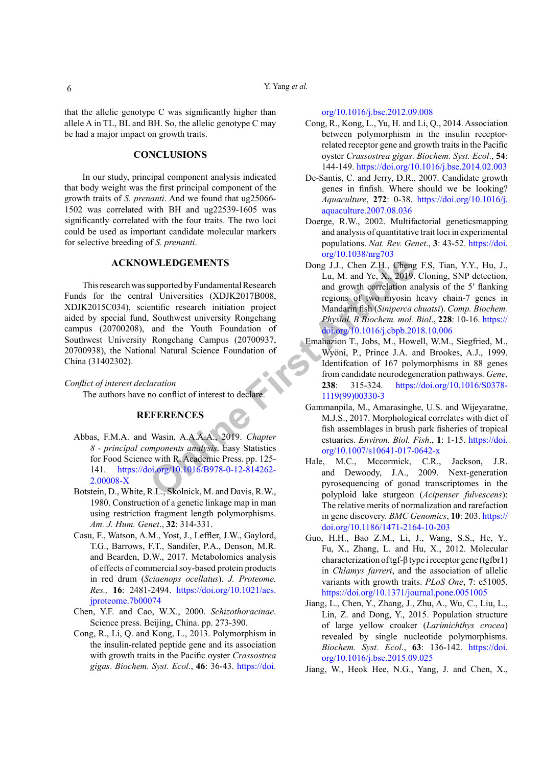that the allelic genotype C was significantly higher than allele A in TL, BL and BH. So, the allelic genotype C may be had a major impact on growth traits.

## **CONCLUSIONS**

In our study, principal component analysis indicated that body weight was the first principal component of the growth traits of *S. prenanti*. And we found that ug25066- 1502 was correlated with BH and ug22539-1605 was significantly correlated with the four traits. The two loci could be used as important candidate molecular markers for selective breeding of *S. prenanti*.

## **ACKNOWLEDGEMENTS**

**WLEDGEMENTS**<br>
Song J.J., Chen Z.H., Chen<br>
upported by Fundamental Research<br>
lu, M. and Ye, X., 2019.<br>
and growth correlation are<br>
expions of two myosin<br>
Southwest university Rongchang<br>
Article of the Mundation of<br>
Southwe This research was supported by Fundamental Research Funds for the central Universities (XDJK2017B008, XDJK2015C034), scientific research initiation project aided by special fund, Southwest university Rongchang campus (20700208), and the Youth Foundation of Southwest University Rongchang Campus (20700937, 20700938), the National Natural Science Foundation of China (31402302).

*Conflict of interest declaration* The authors have no conflict of interest to declare.

# **REFERENCES**

- <span id="page-5-7"></span>Abbas, F.M.A. and Wasin, A.A.A.A., 2019. *Chapter 8 - principal components analysis*. Easy Statistics for Food Science with R. Academic Press. pp. 125- 141. https://doi.org/10.1016/B978-0-12-814262- [2.00008-X](https://doi.org/10.1016/B978-0-12-814262-2.00008-X)
- <span id="page-5-6"></span>Botstein, D., White, R.L., Skolnick, M. and Davis, R.W., 1980. Construction of a genetic linkage map in man using restriction fragment length polymorphisms. *Am. J. Hum. Genet*., **32**: 314-331.
- <span id="page-5-8"></span>Casu, F., Watson, A.M., Yost, J., Leffler, J.W., Gaylord, T.G., Barrows, F.T., Sandifer, P.A., Denson, M.R. and Bearden, D.W., 2017. Metabolomics analysis of effects of commercial soy-based protein products in red drum (*Sciaenops ocellatus*). *J. Proteome. Res.,* **16**: 2481-2494. [https://doi.org/10.1021/acs.](https://doi.org/10.1021/acs.jproteome.7b00074) [jproteome.7b00074](https://doi.org/10.1021/acs.jproteome.7b00074)
- <span id="page-5-5"></span>Chen, Y.F. and Cao, W.X., 2000. *Schizothoracinae*. Science press. Beijing, China. pp. 273-390.
- <span id="page-5-2"></span>Cong, R., Li, Q. and Kong, L., 2013. Polymorphism in the insulin-related peptide gene and its association with growth traits in the Pacific oyster *Crassostrea gigas*. *Biochem. Syst. Ecol*., **46**: 36-43. [https://doi.](https://doi.org/10.1016/j.bse.2012.09.008)

[org/10.1016/j.bse.2012.09.008](https://doi.org/10.1016/j.bse.2012.09.008)

- <span id="page-5-3"></span>Cong, R., Kong, L., Yu, H. and Li, Q., 2014. Association between polymorphism in the insulin receptorrelated receptor gene and growth traits in the Pacific oyster *Crassostrea gigas*. *Biochem. Syst. Ecol*., **54**: 144-149. <https://doi.org/10.1016/j.bse.2014.02.003>
- <span id="page-5-0"></span>De-Santis, C. and Jerry, D.R., 2007. Candidate growth genes in finfish. Where should we be looking? *Aquaculture*, **272**: 0-38. [https://doi.org/10.1016/j.](https://doi.org/10.1016/j.aquaculture.2007.08.036) [aquaculture.2007.08.036](https://doi.org/10.1016/j.aquaculture.2007.08.036)
- <span id="page-5-13"></span>Doerge, R.W., 2002. Multifactorial geneticsmapping and analysis of quantitative trait loci in experimental populations. *Nat. Rev. Genet*., **3**: 43-52. [https://doi.](https://doi.org/10.1038/nrg703) [org/10.1038/nrg703](https://doi.org/10.1038/nrg703)
- <span id="page-5-4"></span>Dong J.J., Chen Z.H., Cheng F.S, Tian, Y.Y., Hu, J., Lu, M. and Ye, X., 2019. Cloning, SNP detection, and growth correlation analysis of the 5′ flanking regions of two myosin heavy chain-7 genes in Mandarin fish (*Siniperca chuatsi*). *Comp. Biochem. Physiol. B Biochem. mol. Biol*., **228**: 10-16. [https://](https://doi.org/10.1016/j.cbpb.2018.10.006) [doi.org/10.1016/j.cbpb.2018.10.006](https://doi.org/10.1016/j.cbpb.2018.10.006)
- Emahazion T., Jobs, M., Howell, W.M., Siegfried, M., Wyöni, P., Prince J.A. and Brookes, A.J., 1999. Identifcation of 167 polymorphisms in 88 genes from candidate neurodegeneration pathways. *Gene*, **238**: 315-324. [https://doi.org/10.1016/S0378-](https://doi.org/10.1016/S0378-1119(99)00330-3) 1119(99)00330-3
- <span id="page-5-9"></span>Gammanpila, M., Amarasinghe, U.S. and Wijeyaratne, M.J.S., 2017. Morphological correlates with diet of fish assemblages in brush park fisheries of tropical estuaries. *Environ. Biol. Fish*., **1**: 1-15. [https://doi.](https://doi.org/10.1007/s10641-017-0642-x) org/10.1007/s10641-017-0642-x
- <span id="page-5-11"></span>Hale, M.C., Mccormick, C.R., Jackson, J.R. and Dewoody, J.A., 2009. Next-generation pyrosequencing of gonad transcriptomes in the polyploid lake sturgeon (*Acipenser fulvescens*): The relative merits of normalization and rarefaction in gene discovery. *BMC Genomics*, **10**: 203. [https://](https://doi.org/10.1186/1471-2164-10-203) [doi.org/10.1186/1471-2164-10-203](https://doi.org/10.1186/1471-2164-10-203)
- <span id="page-5-1"></span>Guo, H.H., Bao Z.M., Li, J., Wang, S.S., He, Y., Fu, X., Zhang, L. and Hu, X., 2012. Molecular characterization of tgf-β type i receptor gene (tgfbr1) in *Chlamys farreri*, and the association of allelic variants with growth traits. *PLoS One*, **7**: e51005. <https://doi.org/10.1371/journal.pone.0051005>
- <span id="page-5-12"></span>Jiang, L., Chen, Y., Zhang, J., Zhu, A., Wu, C., Liu, L., Lin, Z. and Dong, Y., 2015. Population structure of large yellow croaker (*Larimichthys crocea*) revealed by single nucleotide polymorphisms. *Biochem. Syst. Ecol*., **63**: 136-142. [https://doi.](https://doi.org/10.1016/j.bse.2015.09.025) [org/10.1016/j.bse.2015.09.025](https://doi.org/10.1016/j.bse.2015.09.025)
- <span id="page-5-10"></span>Jiang, W., Heok Hee, N.G., Yang, J. and Chen, X.,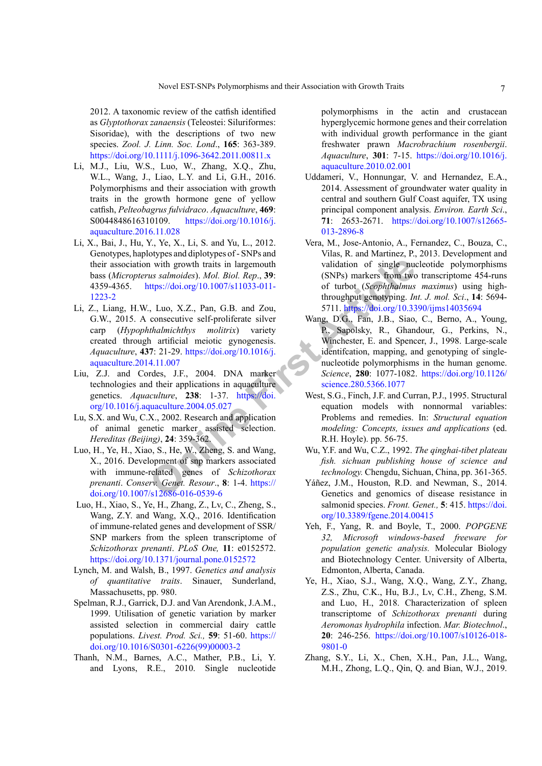2012. A taxonomic review of the catfish identified as *Glyptothorax zanaensis* (Teleostei: Siluriformes: Sisoridae), with the descriptions of two new species. *Zool. J. Linn. Soc. Lond*., **165**: 363-389. <https://doi.org/10.1111/j.1096-3642.2011.00811.x>

- <span id="page-6-4"></span>Li, M.J., Liu, W.S., Luo, W., Zhang, X.Q., Zhu, W.L., Wang, J., Liao, L.Y. and Li, G.H., 2016. Polymorphisms and their association with growth traits in the growth hormone gene of yellow catfish, *Pelteobagrus fulvidraco*. *Aquaculture*, **469**: S0044848616310109. [https://doi.org/10.1016/j.](https://doi.org/10.1016/j.aquaculture.2016.11.028) [aquaculture.2016.11.028](https://doi.org/10.1016/j.aquaculture.2016.11.028)
- <span id="page-6-5"></span>Li, X., Bai, J., Hu, Y., Ye, X., Li, S. and Yu, L., 2012. Genotypes, haplotypes and diplotypes of - SNPs and their association with growth traits in largemouth bass (*Micropterus salmoides*). *Mol. Biol. Rep*., **39**: 4359-4365. https://doi.org/10.1007/s11033-011- [1223-2](https://doi.org/10.1007/s11033-011-1223-2)
- <span id="page-6-13"></span>Li, Z., Liang, H.W., Luo, X.Z., Pan, G.B. and Zou, G.W., 2015. A consecutive self-proliferate silver carp (*Hypophthalmichthys molitrix*) variety created through artificial meiotic gynogenesis. *Aquaculture*, **437**: 21-29. https://doi.org/10.1016/j. [aquaculture.2014.11.007](https://doi.org/10.1016/j.aquaculture.2014.11.007)
- <span id="page-6-1"></span>Liu, Z.J. and Cordes, J.F., 2004. DNA marker technologies and their applications in aquaculture genetics. *Aquaculture*, **238**: 1-37. https://doi. [org/10.1016/j.aquaculture.2004.05.027](https://doi.org/10.1016/j.aquaculture.2004.05.027)
- <span id="page-6-0"></span>Lu, S.X. and Wu, C.X., 2002. Research and application of animal genetic marker assisted selection. *Hereditas (Beijing)*, **24**: 359-362.
- Luo, H., Ye, H., Xiao, S., He, W., Zheng, S. and Wang, X., 2016. Development of snp markers associated with immune-related genes of *Schizothorax prenanti*. *Conserv. Genet. Resour*., **8**: 1-4. https:// [doi.org/10.1007/s12686-016-0539-6](https://doi.org/10.1007/s12686-016-0539-6)
- <span id="page-6-10"></span><span id="page-6-8"></span> Luo, H., Xiao, S., Ye, H., Zhang, Z., Lv, C., Zheng, S., Wang, Z.Y. and Wang, X.Q., 2016. Identification of immune-related genes and development of SSR/ SNP markers from the spleen transcriptome of *Schizothorax prenanti*. *PLoS One,* **11**: e0152572. <https://doi.org/10.1371/journal.pone.0152572>
- <span id="page-6-15"></span><span id="page-6-9"></span>Lynch, M. and Walsh, B., 1997. *Genetics and analysis of quantitative traits*. Sinauer, Sunderland, Massachusetts, pp. 980.
- <span id="page-6-3"></span>Spelman, R.J., Garrick, D.J. and Van Arendonk, J.A.M., 1999. Utilisation of genetic variation by marker assisted selection in commercial dairy cattle populations. *Livest. Prod. Sci.,* **59**: 51-60. [https://](https://doi.org/10.1016/S0301-6226(99)00003-2) [doi.org/10.1016/S0301-6226\(99\)00003-2](https://doi.org/10.1016/S0301-6226(99)00003-2)
- <span id="page-6-6"></span>Thanh, N.M., Barnes, A.C., Mather, P.B., Li, Y. and Lyons, R.E., 2010. Single nucleotide

polymorphisms in the actin and crustacean hyperglycemic hormone genes and their correlation with individual growth performance in the giant freshwater prawn *Macrobrachium rosenbergii*. *Aquaculture*, **301**: 7-15. [https://doi.org/10.1016/j.](https://doi.org/10.1016/j.aquaculture.2010.02.001) [aquaculture.2010.02.001](https://doi.org/10.1016/j.aquaculture.2010.02.001)

- <span id="page-6-12"></span>Uddameri, V., Honnungar, V. and Hernandez, E.A., 2014. Assessment of groundwater water quality in central and southern Gulf Coast aquifer, TX using principal component analysis. *Environ. Earth Sci*., **71**: 2653-2671. [https://doi.org/10.1007/s12665-](https://doi.org/10.1007/s12665-013-2896-8) [013-2896-8](https://doi.org/10.1007/s12665-013-2896-8)
- <span id="page-6-14"></span><span id="page-6-11"></span><span id="page-6-7"></span><span id="page-6-2"></span>Vera, M., Jose-Antonio, A., Fernandez, C., Bouza, C., Vilas, R. and Martinez, P., 2013. Development and validation of single nucleotide polymorphisms (SNPs) markers from two transcriptome 454-runs of turbot (*Scophthalmus maximus*) using highthroughput genotyping. *Int. J. mol. Sci*., **14**: 5694- 5711. <https://doi.org/10.3390/ijms14035694>
- **Example 12**<br> **CONFIGUATE:** Articlean Sample and Sample and Sample and Sample and Sample and Sample and Sample and Sample and Sample and Sample and Sample and Sample and Sample and Sample and Sample and Sample and Sample a Wang, D.G., Fan, J.B., Siao, C., Berno, A., Young, P., Sapolsky, R., Ghandour, G., Perkins, N., Winchester, E. and Spencer, J., 1998. Large-scale identifcation, mapping, and genotyping of singlenucleotide polymorphisms in the human genome. *Science*, **280**: 1077-1082. [https://doi.org/10.1126/](https://doi.org/10.1126/science.280.5366.1077) science.280.5366.1077
	- West, S.G., Finch, J.F. and Curran, P.J., 1995. Structural equation models with nonnormal variables: Problems and remedies. In: *Structural equation modeling: Concepts, issues and applications* (ed. R.H. Hoyle). pp. 56-75.
	- Wu, Y.F. and Wu, C.Z., 1992. *The qinghai-tibet plateau fish. sichuan publishing house of science and technology.* Chengdu, Sichuan, China, pp. 361-365.
	- Yáñez, J.M., Houston, R.D. and Newman, S., 2014. Genetics and genomics of disease resistance in salmonid species. *Front. Genet.,* **5**: 415. [https://doi.](https://doi.org/10.3389/fgene.2014.00415) [org/10.3389/fgene.2014.00415](https://doi.org/10.3389/fgene.2014.00415)
	- Yeh, F., Yang, R. and Boyle, T., 2000. *POPGENE 32, Microsoft windows-based freeware for population genetic analysis.* Molecular Biology and Biotechnology Center. University of Alberta, Edmonton, Alberta, Canada.
	- Ye, H., Xiao, S.J., Wang, X.Q., Wang, Z.Y., Zhang, Z.S., Zhu, C.K., Hu, B.J., Lv, C.H., Zheng, S.M. and Luo, H., 2018. Characterization of spleen transcriptome of *Schizothorax prenanti* during *Aeromonas hydrophila* infection. *Mar. Biotechnol*., **20**: 246-256. [https://doi.org/10.1007/s10126-018-](https://doi.org/10.1007/s10126-018-9801-0) [9801-0](https://doi.org/10.1007/s10126-018-9801-0)
	- Zhang, S.Y., Li, X., Chen, X.H., Pan, J.L., Wang, M.H., Zhong, L.Q., Qin, Q. and Bian, W.J., 2019.